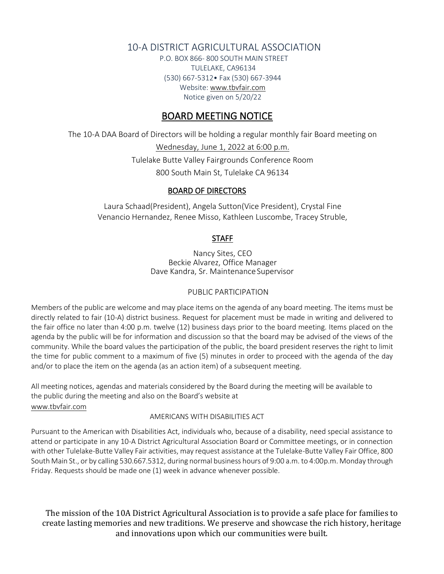# 10-A DISTRICT AGRICULTURAL ASSOCIATION

P.O. BOX 866- 800 SOUTH MAIN STREET TULELAKE, CA96134 (530) 667-5312• Fax (530) 667-3944 Websit[e: www.tbvfair.com](http://www.modocfair.com/) Notice given on 5/20/22

# BOARD MEETING NOTICE

The 10-A DAA Board of Directors will be holding a regular monthly fair Board meeting on

Wednesday, June 1, 2022 at 6:00 p.m. Tulelake Butte Valley Fairgrounds Conference Room 800 South Main St, Tulelake CA 96134

### BOARD OF DIRECTORS

Laura Schaad(President), Angela Sutton(Vice President), Crystal Fine Venancio Hernandez, Renee Misso, Kathleen Luscombe, Tracey Struble,

## **STAFF**

Nancy Sites, CEO Beckie Alvarez, Office Manager Dave Kandra, Sr. Maintenance Supervisor

## PUBLIC PARTICIPATION

Members of the public are welcome and may place items on the agenda of any board meeting. The items must be directly related to fair (10-A) district business. Request for placement must be made in writing and delivered to the fair office no later than 4:00 p.m. twelve (12) business days prior to the board meeting. Items placed on the agenda by the public will be for information and discussion so that the board may be advised of the views of the community. While the board values the participation of the public, the board president reserves the right to limit the time for public comment to a maximum of five (5) minutes in order to proceed with the agenda of the day and/or to place the item on the agenda (as an action item) of a subsequent meeting.

All meeting notices, agendas and materials considered by the Board during the meeting will be available to the public during the meeting and also on the Board's website at [www.tbvfair.com](http://www.tbvfair.com/)

### AMERICANS WITH DISABILITIES ACT

Pursuant to the American with Disabilities Act, individuals who, because of a disability, need special assistance to attend or participate in any 10-A District Agricultural Association Board or Committee meetings, or in connection with other Tulelake-Butte Valley Fair activities, may request assistance at the Tulelake-Butte Valley Fair Office, 800 South Main St., or by calling 530.667.5312, during normal business hours of 9:00 a.m. to 4:00p.m. Monday through Friday. Requests should be made one (1) week in advance whenever possible.

The mission of the 10A District Agricultural Association is to provide a safe place for families to create lasting memories and new traditions. We preserve and showcase the rich history, heritage and innovations upon which our communities were built.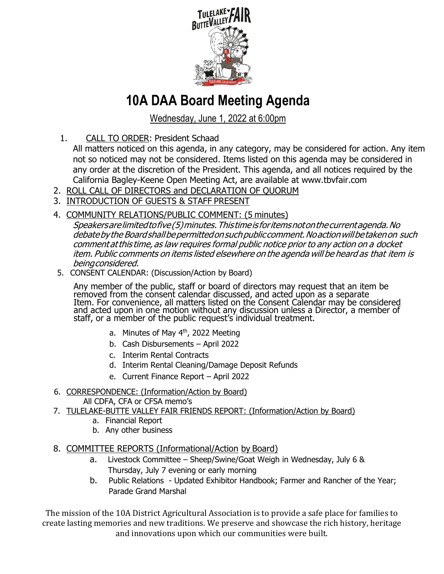

# **10A DAA Board Meeting Agenda**

Wednesday, June 1, 2022 at 6:00pm

1. CALL TO ORDER: President Schaad

All matters noticed on this agenda, in any category, may be considered for action. Any item not so noticed may not be considered. Items listed on this agenda may be considered in any order at the discretion of the President. This agenda, and all notices required by the California Bagley-Keene Open Meeting Act, are available at www.tbvfair.com

- 2. ROLL CALL OF DIRECTORS and DECLARATION OF QUORUM
- 3. INTRODUCTION OF GUESTS & STAFF PRESENT
- 4. COMMUNITY RELATIONS/PUBLIC COMMENT: (5 minutes)

Speakersarelimitedtofive(5)minutes.Thistimeis foritemsnotonthecurrentagenda.No debatebythe Boardshallbepermittedonsuchpubliccomment.Noactionwillbetakenon such comment at this time, as law requires formal public notice prior to any action on a docket item. Public comments on items listed elsewhere on the agenda will be heard as that item is beingconsidered.

5. CONSENT CALENDAR: (Discussion/Action by Board)

Any member of the public, staff or board of directors may request that an item be removed from the consent calendar discussed, and acted upon as a separate Item. For convenience, all matters listed on the Consent Calendar may be considered and acted upon in one motion without any discussion unless a Director, a member of staff, or a member of the public request's individual treatment.

- a. Minutes of May  $4<sup>th</sup>$ , 2022 Meeting
- b. Cash Disbursements April 2022
- c. Interim Rental Contracts
- d. Interim Rental Cleaning/Damage Deposit Refunds
- e. Current Finance Report April 2022
- 6. CORRESPONDENCE: (Information/Action by Board)
	- All CDFA, CFA or CFSA memo's
- 7. TULELAKE-BUTTE VALLEY FAIR FRIENDS REPORT: (Information/Action by Board)
	- a. Financial Report
	- b. Any other business
- 8. COMMITTEE REPORTS (Informational/Action by Board)
	- a. Livestock Committee Sheep/Swine/Goat Weigh in Wednesday, July 6 & Thursday, July 7 evening or early morning
	- b. Public Relations Updated Exhibitor Handbook; Farmer and Rancher of the Year; Parade Grand Marshal

The mission of the 10A District Agricultural Association is to provide a safe place for families to create lasting memories and new traditions. We preserve and showcase the rich history, heritage and innovations upon which our communities were built.